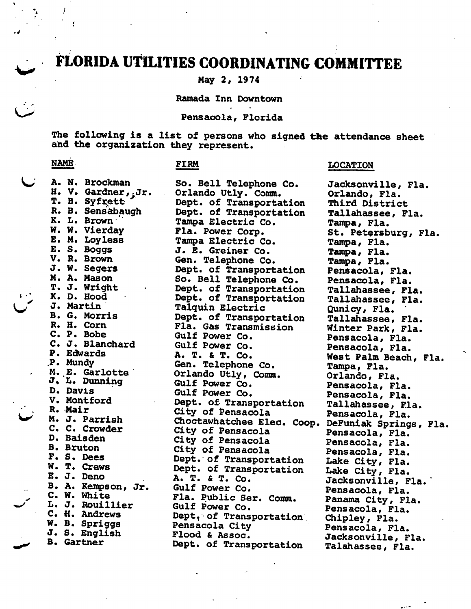# FLORIDA UTILITIES COORDINATING COMMITTEE

May 2, 1974

Ramada Inn Downtown

Pensacola, Florida

The following is a list of persons who signed the attendance sheet and the organization they represent.

LOCATION

للمعد

### NAME

I

Ņ.

.<br>سا

#### FIRM

| A. N. Brockman                    | So. Bell Telephone Co.                            | Jacksonville, Fla.    |
|-----------------------------------|---------------------------------------------------|-----------------------|
| H. V. Gardner, Jr.                | Orlando Utly. Comm.                               | Orlando, Fla.         |
| T. B. Syfrett                     | Dept. of Transportation                           | Third District        |
| R. B. Sensabaugh                  | Dept. of Transportation                           | Tallahassee, Fla.     |
| K. L. Brown                       | Tampa Electric Co.                                | Tampa, Fla.           |
| W. W. Vierday                     | Fla. Power Corp.                                  | St. Petersburg, Fla.  |
| E. M. Loyless                     | Tampa Electric Co.                                | Tampa, Fla.           |
| E. S. Boggs                       | J. E. Greiner Co.                                 | Tampa, Fla.           |
| V. R. Brown                       | Gen. Telephone Co.                                | Tampa, Fla.           |
| J. W. Segers                      | Dept. of Transportation                           | Pensacola, Fla.       |
| M. A. Mason                       | So. Bell Telephone Co.                            | Pensacola, Fla.       |
| T. J. Wright                      | Dept. of Transportation                           | Tallahassee, Fla.     |
| K. D. Hood                        | Dept. of Transportation                           | Tallahassee, Fla.     |
| J. Martin                         | Talquin Electric                                  | Qunicy, Fla.          |
| B. G. Morris                      | Dept. of Transportation                           | Tallahassee, Fla.     |
| R. H. Corn                        | Fla. Gas Transmission                             | Winter Park, Fla.     |
| C. P. Bobe                        | Gulf Power Co.                                    | Pensacola, Fla.       |
| C. J. Blanchard                   | Gulf Power Co.                                    | Pensacola, Fla.       |
| P. Edwards                        | A. T. & T. Co.                                    | West Palm Beach, Fla. |
| P. Mundy                          | Gen. Telephone Co.                                | Tampa, Fla.           |
| M. E. Garlotte                    | Orlando Utly, Comm.                               | Orlando, Fla.         |
| J. L. Dunning                     | Gulf Power Co.                                    | Pensacola, Fla.       |
| D. Davis                          | Gulf Power Co.                                    | Pensacola, Fla.       |
| V. Montford                       | Dept. of Transportation                           | Tallahassee, Fla.     |
| R. Mair                           | City of Pensacola                                 | Pensacola, Fla.       |
| M. J. Parrish                     | Choctawhatchee Elec. Coop. DeFuniak Springs, Fla. |                       |
| C. C. Crowder                     | City of Pensacola                                 | Pensacola, Fla.       |
| D. Baisden                        | City of Pensacola                                 | Pensacola, Fla.       |
| <b>B.</b> Bruton                  | City of Pensacola                                 | Pensacola, Fla.       |
| F. S. Dees<br>W. T. Crews         | Dept. of Transportation                           | Lake City, Fla.       |
| E. J. Deno                        | Dept. of Transportation                           | Lake City, Fla.       |
|                                   | A. T. & T. Co.                                    | Jacksonville, Fla.    |
| B. A. Kempson, Jr.<br>C. W. White | Gulf Power Co.                                    | Pensacola, Fla.       |
|                                   | Fla. Public Ser. Comm.                            | Panama City, Fla.     |
| L. J. Rouillier<br>C. H. Andrews  | Gulf Power Co.                                    | Pensacola, Fla.       |
| W. B. Spriggs                     | Dept, of Transportation                           | Chipley, Fla.         |
| J. S. English                     | Pensacola City                                    | Pensacola, Fla.       |
| <b>B.</b> Gartner                 | Flood & Assoc.                                    | Jacksonville, Fla.    |
|                                   | Dept. of Transportation                           | Talahassee, Fla.      |
|                                   |                                                   |                       |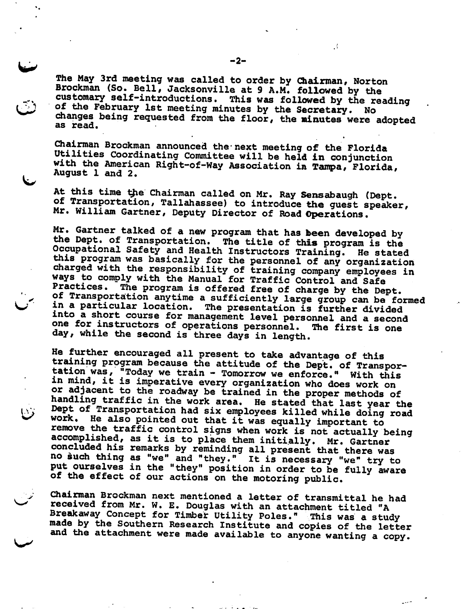The May 3rd meeting was called to order by Qiairman, Norton Brockman (So. Bell, Jacksonville at 9 A.M. followed by the customary self-introductions. This was followed by the reading of the February 1st meeting minutes by the Secretary. No changes being requested from the floor, the minutes were adopted as read.

Chairman Brockman announced the next meeting of the Florida Utilities Coordinating Committee will be held in conjunction with the American Right-of-Way Association in Tampa, Florida, August 1 and 2.

At this time the Chairman called on Mr. Ray Sensabaugh (Dept. of Transportation, Tallahassee) to introduce the guest speaker, Mr. William Gartner, Deputy Director of Road Operations.

Mr. Gartner talked of a new program that has been developed by the Dept. of Transportation. The title of this program is the Occupational Safety and Health Instructors Training. He stated this program was basically for the personnel of any organization charged with the responsibility of training company employees in ways to comply with the Manual for Traffic Control and Safe Practices. The program is offered free of charge by the Dept. of Transportation anytime a sufficiently large group can be formed in a particular location. The presentation is further divided into a short course for management level personnel and a second one for instructors of operations personnel. The first is one day, while the second is three days in length.

He further encouraged all present to take advantage of this training program because the attitude of the Dept. of Transpor-<br>tation was, "Today we train - Tomorrow we enforce." With this in mind, it is imperative every organization who does work on<br>or adjacent to the roadway be trained in the proper methods of handling traffic in the work area. He stated that last year the Dept of Transportation had six employees killed while doing road work. He also pointed out that it was equally important to remove the traffic control signs when work is not actually being accomplished, as it is to place them initially. Mr. Gartner concluded his remarks by reminding all present that there was no such thing as "we" and "they." It is necessary "we" try to put ourselves in the "they" position in order to be fully aware of the effect of our actions on the motoring public.

Chairman Brockman next mentioned a letter of transmittal he had received from Mr. W. E. Douglas with an attachment titled "A Breakaway Concept for Timber Utility Poles." This was a study made by the Southern Research Institute and copies of the letter and the attachment were made available to anyone wanting a copy.

 $\frac{1}{2}$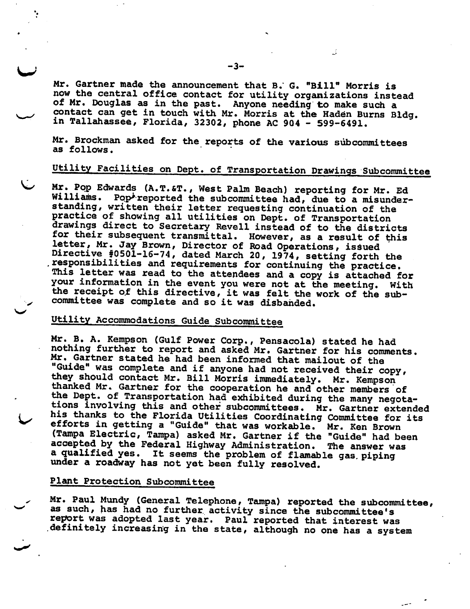Mr. Gartner made the announcement that B." G. "Bill" Morris is now the central office contact for utility organizations instead of Mr. Douglas as in the past. Anyone needing to make such a contact can get in touch with Mr. Morris at the Haden Burns Bldg. in Tallahassee, Florida, 32302, phone AC 904 - 599-6491.

Mr. Brockman asked for the reports of the various subcommittees as follows.

## Utility Facilities on Dept. of Transportation Drawings Subcommittee

Mr. Pop Edwards (A.T.&T., West Palm Beach) reporting for Mr. Ed Williams. Pop<sup>i</sup>reported the subcommittee had, due to a misunderstanding, written their letter requesting continuation of the practice of showing all utilities on Dept. of Transportation drawings direct to Secretary Revell instead of to the districts for their subsequent transmittal. However, as a result of this letter, Mr. Jay Brown, Director of Road Operations, issued Directive #0501-16-74, dated March 20, 1974, setting forth the .responsibilities and requirements for continuing the practice. This letter was read to the attendees and a copy is attached for your information in the event you were not at the meeting. With the receipt of this directive, it was felt the work of the subcommittee was complete and so it was disbanded.

### Utility Accommodations Guide Subcommittee

Mr. B, A. Kempson (Gulf Power Corp., Pensacola) stated he had nothing further to report and asked Mr. Gartner for his comments. Mr. Gartner stated he had been informed that mailout of the Guide" was complete and if anyone had not received their copy, they should contact Mr. Bill Morris immediately. Mr. Kempson thanked Mr. Gartner for the cooperation he and other members of the Dept. of Transportation had exhibited during the many negotations involving this and other subcommittees. Mr. Gartner extended his thanks to the Florida Utilities Coordinating Committee for its efforts in getting a "Guide" that was workable. Mr. Ken Brown (Tampa Electric, Tampa) asked Mr. Gartner if the "Guide" had been accepted by the Federal Highway Administration. The answer was a qualified yes. It seems the problem of flamable gas piping under a roadway has not yet been fully resolved.

#### Plant Protection Subcommittee

Mr. Paul Mundy (General Telephone, Tampa) reported the subcommittee, as such, has had no further activity since the subcommittee's report was adopted last year. Paul reported that interest was .definitely increasing in the state, although no one has a system